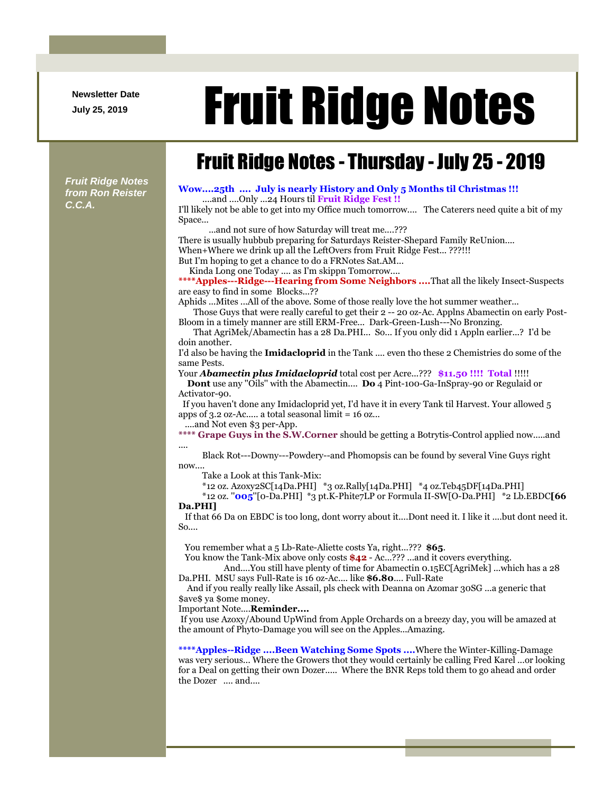**Newsletter Date**

# Newsletter Date **Fruit Ridge Notes**

## Fruit Ridge Notes - Thursday - July 25 - 2019

*Fruit Ridge Notes from Ron Reister C.C.A.*

#### **Wow....25th .... July is nearly History and Only 5 Months til Christmas !!!** ....and ....Only ...24 Hours til **Fruit Ridge Fest !!**

I'll likely not be able to get into my Office much tomorrow.... The Caterers need quite a bit of my Space...

...and not sure of how Saturday will treat me....???

There is usually hubbub preparing for Saturdays Reister-Shepard Family ReUnion....

When+Where we drink up all the LeftOvers from Fruit Ridge Fest... ???!!!

But I'm hoping to get a chance to do a FRNotes Sat.AM...

Kinda Long one Today .... as I'm skippn Tomorrow....

**\*\*\*\*Apples---Ridge---Hearing from Some Neighbors ....**That all the likely Insect-Suspects are easy to find in some Blocks...??

Aphids ...Mites ...All of the above. Some of those really love the hot summer weather...

Those Guys that were really careful to get their 2 -- 20 oz-Ac. Applns Abamectin on early Post-Bloom in a timely manner are still ERM-Free... Dark-Green-Lush---No Bronzing.

That AgriMek/Abamectin has a 28 Da.PHI... So... If you only did 1 Appln earlier...? I'd be doin another.

I'd also be having the **Imidacloprid** in the Tank .... even tho these 2 Chemistries do some of the same Pests.

Your *Abamectin plus Imidacloprid* total cost per Acre...??? **\$11.50 !!!! Total** !!!!!

**Dont** use any ''Oils'' with the Abamectin.... **Do** 4 Pint-100-Ga-InSpray-90 or Regulaid or Activator-90.

If you haven't done any Imidacloprid yet, I'd have it in every Tank til Harvest. Your allowed 5 apps of 3.2 oz-Ac..... a total seasonal limit = 16 oz...

....and Not even \$3 per-App.

**\*\*\*\* Grape Guys in the S.W.Corner** should be getting a Botrytis-Control applied now.....and ....

Black Rot---Downy---Powdery--and Phomopsis can be found by several Vine Guys right  $now...$ 

Take a Look at this Tank-Mix:

\*12 oz. Azoxy2SC[14Da.PHI] \*3 oz.Rally[14Da.PHI] \*4 oz.Teb45DF[14Da.PHI]

\*12 oz. ''**005**''[0-Da.PHI] \*3 pt.K-Phite7LP or Formula II-SW[O-Da.PHI] \*2 Lb.EBDC**[66 Da.PHI]**

If that 66 Da on EBDC is too long, dont worry about it....Dont need it. I like it ....but dont need it.  $So...$ 

You remember what a 5 Lb-Rate-Aliette costs Ya, right...??? **\$65**.

You know the Tank-Mix above only costs  $$42 - Ac...$ ??? ...and it covers everything.

And....You still have plenty of time for Abamectin 0.15EC[AgriMek] ...which has a 28 Da.PHI. MSU says Full-Rate is 16 oz-Ac.... like **\$6.80**.... Full-Rate

And if you really really like Assail, pls check with Deanna on Azomar 30SG ...a generic that \$ave\$ ya \$ome money.

Important Note....**Reminder....**

If you use Azoxy/Abound UpWind from Apple Orchards on a breezy day, you will be amazed at the amount of Phyto-Damage you will see on the Apples...Amazing.

**\*\*\*\*Apples--Ridge ....Been Watching Some Spots ....**Where the Winter-Killing-Damage was very serious... Where the Growers thot they would certainly be calling Fred Karel ...or looking for a Deal on getting their own Dozer..... Where the BNR Reps told them to go ahead and order the Dozer .... and....